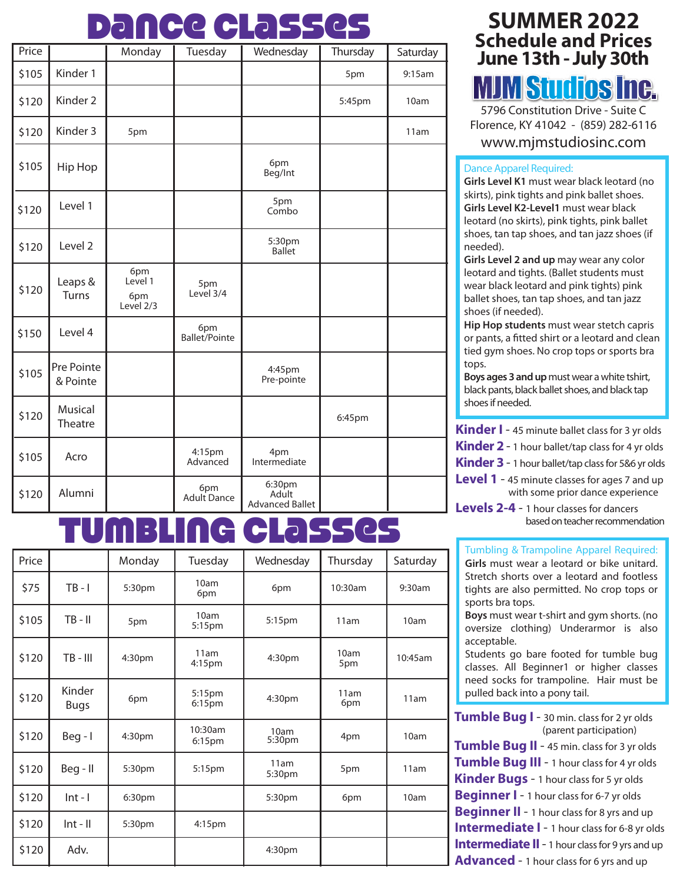## Dance Classes

| Price |                        | Monday                             | Tuesday              | Wednesday                                 | Thursday | Saturday |
|-------|------------------------|------------------------------------|----------------------|-------------------------------------------|----------|----------|
| \$105 | Kinder 1               |                                    |                      |                                           | 5pm      | 9:15am   |
| \$120 | Kinder <sub>2</sub>    |                                    |                      |                                           | 5:45pm   | 10am     |
| \$120 | Kinder <sub>3</sub>    | 5pm                                |                      |                                           |          | 11am     |
| \$105 | Hip Hop                |                                    |                      | 6pm<br>Beg/Int                            |          |          |
| \$120 | Level 1                |                                    |                      | 5pm<br>Combo                              |          |          |
| \$120 | Level <sub>2</sub>     |                                    |                      | 5:30pm<br><b>Ballet</b>                   |          |          |
| \$120 | Leaps &<br>Turns       | 6pm<br>Level 1<br>6pm<br>Level 2/3 | 5pm<br>Level 3/4     |                                           |          |          |
| \$150 | Level 4                |                                    | 6pm<br>Ballet/Pointe |                                           |          |          |
| \$105 | Pre Pointe<br>& Pointe |                                    |                      | 4:45pm<br>Pre-pointe                      |          |          |
| \$120 | Musical<br>Theatre     |                                    |                      |                                           | 6:45pm   |          |
| \$105 | Acro                   |                                    | 4:15pm<br>Advanced   | 4pm<br>Intermediate                       |          |          |
| \$120 | Alumni                 |                                    | 6pm<br>Adult Dance   | 6:30pm<br>Adult<br><b>Advanced Ballet</b> |          |          |

## Tumbling Classes

| Price |                       | Monday | Tuesday            | Wednesday          | Thursday    | Saturday |
|-------|-----------------------|--------|--------------------|--------------------|-------------|----------|
| \$75  | $TB - I$              | 5:30pm | 10am<br>6pm        | 6pm                | 10:30am     | 9:30am   |
| \$105 | $TB - II$             | 5pm    | 10am<br>5:15pm     | 5:15pm             | 11am        | 10am     |
| \$120 | $TB - III$            | 4:30pm | 11am<br>4:15pm     | 4:30 <sub>pm</sub> | 10am<br>5pm | 10:45am  |
| \$120 | Kinder<br><b>Bugs</b> | 6pm    | 5:15pm<br>6:15pm   | 4:30pm             | 11am<br>6pm | 11am     |
| \$120 | $Beg - I$             | 4:30pm | 10:30am<br>6:15pm  | 10am<br>5:30pm     | 4pm         | 10am     |
| \$120 | Beg - II              | 5:30pm | 5:15 <sub>pm</sub> | 11am<br>5:30pm     | 5pm         | 11am     |
| \$120 | $Int - I$             | 6:30pm |                    | 5:30pm             | 6pm         | 10am     |
| \$120 | $Int - II$            | 5:30pm | 4:15pm             |                    |             |          |
| \$120 | Adv.                  |        |                    | 4:30pm             |             |          |

#### **SUMMER 2022 Schedule and Prices June 13th - July 30th** MJM Studios Inc.

5796 Constitution Drive - Suite C Florence, KY 41042 - (859) 282-6116

www.mjmstudiosinc.com

#### Dance Apparel Required:

**Girls Level K1** must wear black leotard (no skirts), pink tights and pink ballet shoes. **Girls Level K2-Level1** must wear black leotard (no skirts), pink tights, pink ballet shoes, tan tap shoes, and tan jazz shoes (if needed).

**Girls Level 2 and up** may wear any color leotard and tights. (Ballet students must wear black leotard and pink tights) pink ballet shoes, tan tap shoes, and tan jazz shoes (if needed).

**Hip Hop students** must wear stetch capris or pants, a fitted shirt or a leotard and clean tied gym shoes. No crop tops or sports bra tops.

**Boys ages 3 and up** must wear a white tshirt, black pants, black ballet shoes, and black tap shoes if needed.

**Kinder I** - 45 minute ballet class for 3 yr olds

**Kinder 2** - 1 hour ballet/tap class for 4 yr olds

**Kinder 3** - 1 hour ballet/tap class for 5&6 yr olds

**Level 1** - 45 minute classes for ages 7 and up with some prior dance experience

**Levels 2-4** - 1 hour classes for dancers based on teacher recommendation

Tumbling & Trampoline Apparel Required: **Girls** must wear a leotard or bike unitard. Stretch shorts over a leotard and footless tights are also permitted. No crop tops or sports bra tops.

**Boys** must wear t-shirt and gym shorts. (no oversize clothing) Underarmor is also acceptable.

Students go bare footed for tumble bug classes. All Beginner1 or higher classes need socks for trampoline. Hair must be pulled back into a pony tail.

**Tumble Bug I** - 30 min. class for 2 yr olds (parent participation) **Tumble Bug II** - 45 min. class for 3 yr olds **Tumble Bug III** - 1 hour class for 4 yr olds **Kinder Bugs** - 1 hour class for 5 yr olds **Beginner I** - 1 hour class for 6-7 yr olds **Beginner II** - 1 hour class for 8 yrs and up **Intermediate I** - 1 hour class for 6-8 yr olds **Intermediate II** - 1 hour class for 9 yrs and up **Advanced** - 1 hour class for 6 yrs and up